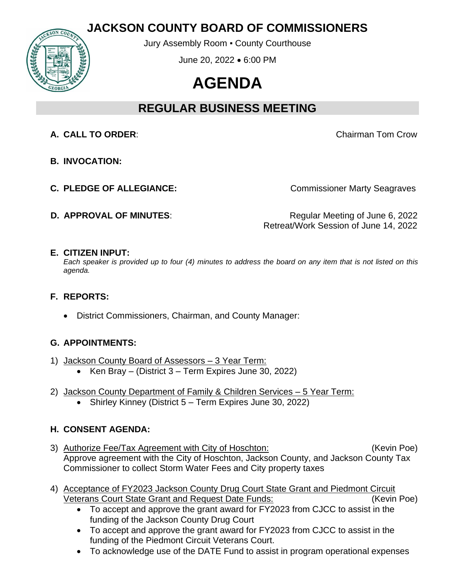# **JACKSON COUNTY BOARD OF COMMISSIONERS**



Jury Assembly Room ▪ County Courthouse

June 20, 2022 • 6:00 PM

# **AGENDA**

# **REGULAR BUSINESS MEETING**

**A. CALL TO ORDER**: Chairman Tom Crow

- **B. INVOCATION:**
- **C. PLEDGE OF ALLEGIANCE:** Commissioner Marty Seagraves

**D.** APPROVAL OF MINUTES: Regular Meeting of June 6, 2022 Retreat/Work Session of June 14, 2022

# **E. CITIZEN INPUT:**

*Each speaker is provided up to four (4) minutes to address the board on any item that is not listed on this agenda.*

# **F. REPORTS:**

• District Commissioners, Chairman, and County Manager:

# **G. APPOINTMENTS:**

- 1) Jackson County Board of Assessors 3 Year Term:
	- Ken Bray (District 3 Term Expires June 30, 2022)
- 2) Jackson County Department of Family & Children Services 5 Year Term:
	- Shirley Kinney (District 5 Term Expires June 30, 2022)

# **H. CONSENT AGENDA:**

- 3) Authorize Fee/Tax Agreement with City of Hoschton: (Kevin Poe) Approve agreement with the City of Hoschton, Jackson County, and Jackson County Tax Commissioner to collect Storm Water Fees and City property taxes
- 4) Acceptance of FY2023 Jackson County Drug Court State Grant and Piedmont Circuit Veterans Court State Grant and Request Date Funds: (Kevin Poe)
	- To accept and approve the grant award for FY2023 from CJCC to assist in the funding of the Jackson County Drug Court
	- To accept and approve the grant award for FY2023 from CJCC to assist in the funding of the Piedmont Circuit Veterans Court.
	- To acknowledge use of the DATE Fund to assist in program operational expenses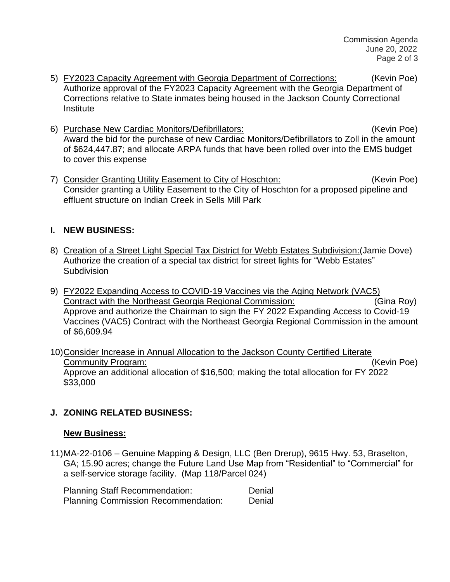- 5) FY2023 Capacity Agreement with Georgia Department of Corrections: (Kevin Poe) Authorize approval of the FY2023 Capacity Agreement with the Georgia Department of Corrections relative to State inmates being housed in the Jackson County Correctional Institute
- 6) Purchase New Cardiac Monitors/Defibrillators: (Kevin Poe) Award the bid for the purchase of new Cardiac Monitors/Defibrillators to Zoll in the amount of \$624,447.87; and allocate ARPA funds that have been rolled over into the EMS budget to cover this expense
- 7) Consider Granting Utility Easement to City of Hoschton: (Kevin Poe) Consider granting a Utility Easement to the City of Hoschton for a proposed pipeline and effluent structure on Indian Creek in Sells Mill Park

# **I. NEW BUSINESS:**

- 8) Creation of a Street Light Special Tax District for Webb Estates Subdivision:(Jamie Dove) Authorize the creation of a special tax district for street lights for "Webb Estates" **Subdivision**
- 9) FY2022 Expanding Access to COVID-19 Vaccines via the Aging Network (VAC5) Contract with the Northeast Georgia Regional Commission: (Gina Roy) Approve and authorize the Chairman to sign the FY 2022 Expanding Access to Covid-19 Vaccines (VAC5) Contract with the Northeast Georgia Regional Commission in the amount of \$6,609.94
- 10)Consider Increase in Annual Allocation to the Jackson County Certified Literate Community Program: (Kevin Poe) Approve an additional allocation of \$16,500; making the total allocation for FY 2022 \$33,000

# **J. ZONING RELATED BUSINESS:**

#### **New Business:**

11)MA-22-0106 – Genuine Mapping & Design, LLC (Ben Drerup), 9615 Hwy. 53, Braselton, GA; 15.90 acres; change the Future Land Use Map from "Residential" to "Commercial" for a self-service storage facility. (Map 118/Parcel 024)

| <b>Planning Staff Recommendation:</b>      | Denial |
|--------------------------------------------|--------|
| <b>Planning Commission Recommendation:</b> | Denial |